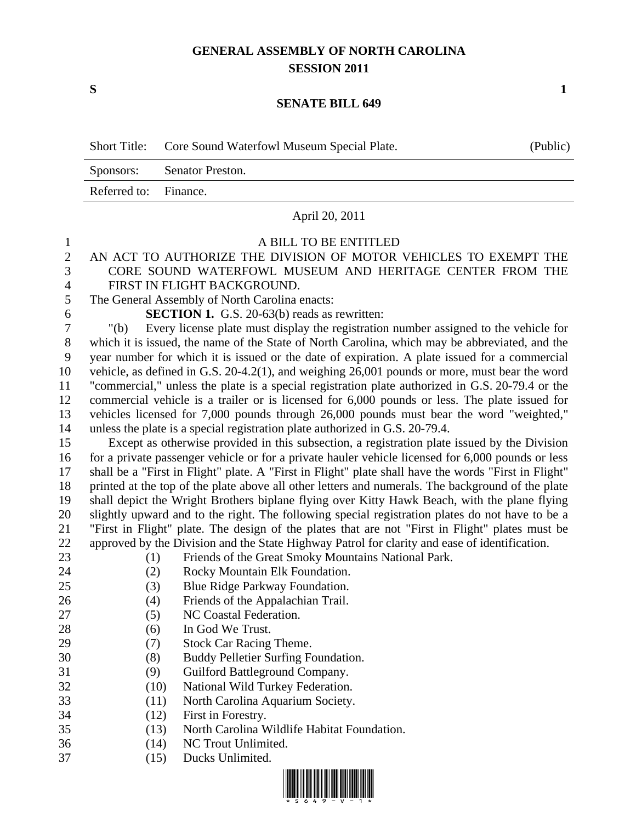## **GENERAL ASSEMBLY OF NORTH CAROLINA SESSION 2011**

**S 1**

## **SENATE BILL 649**

|                | <b>Short Title:</b>                                                                                  | Core Sound Waterfowl Museum Special Plate.                                           | (Public) |  |
|----------------|------------------------------------------------------------------------------------------------------|--------------------------------------------------------------------------------------|----------|--|
|                | Senator Preston.<br>Sponsors:                                                                        |                                                                                      |          |  |
|                | Referred to:                                                                                         | Finance.                                                                             |          |  |
|                |                                                                                                      | April 20, 2011                                                                       |          |  |
| 1              |                                                                                                      | A BILL TO BE ENTITLED                                                                |          |  |
| $\overline{2}$ |                                                                                                      | AN ACT TO AUTHORIZE THE DIVISION OF MOTOR VEHICLES TO EXEMPT THE                     |          |  |
| 3              | CORE SOUND WATERFOWL MUSEUM AND HERITAGE CENTER FROM THE                                             |                                                                                      |          |  |
| $\overline{4}$ | FIRST IN FLIGHT BACKGROUND.                                                                          |                                                                                      |          |  |
| 5              | The General Assembly of North Carolina enacts:                                                       |                                                                                      |          |  |
| 6              | <b>SECTION 1.</b> G.S. 20-63(b) reads as rewritten:                                                  |                                                                                      |          |  |
| 7              | " $(b)$                                                                                              | Every license plate must display the registration number assigned to the vehicle for |          |  |
| 8              | which it is issued, the name of the State of North Carolina, which may be abbreviated, and the       |                                                                                      |          |  |
| 9              | year number for which it is issued or the date of expiration. A plate issued for a commercial        |                                                                                      |          |  |
| 10             | vehicle, as defined in G.S. $20-4.2(1)$ , and weighing $26,001$ pounds or more, must bear the word   |                                                                                      |          |  |
| 11             | "commercial," unless the plate is a special registration plate authorized in G.S. 20-79.4 or the     |                                                                                      |          |  |
| 12             | commercial vehicle is a trailer or is licensed for 6,000 pounds or less. The plate issued for        |                                                                                      |          |  |
| 13             | vehicles licensed for 7,000 pounds through 26,000 pounds must bear the word "weighted,"              |                                                                                      |          |  |
| 14             |                                                                                                      | unless the plate is a special registration plate authorized in G.S. 20-79.4.         |          |  |
| 15             | Except as otherwise provided in this subsection, a registration plate issued by the Division         |                                                                                      |          |  |
| 16             | for a private passenger vehicle or for a private hauler vehicle licensed for 6,000 pounds or less    |                                                                                      |          |  |
| 17             | shall be a "First in Flight" plate. A "First in Flight" plate shall have the words "First in Flight" |                                                                                      |          |  |

 printed at the top of the plate above all other letters and numerals. The background of the plate shall depict the Wright Brothers biplane flying over Kitty Hawk Beach, with the plane flying slightly upward and to the right. The following special registration plates do not have to be a "First in Flight" plate. The design of the plates that are not "First in Flight" plates must be approved by the Division and the State Highway Patrol for clarity and ease of identification.

- (1) Friends of the Great Smoky Mountains National Park.
- 
- (2) Rocky Mountain Elk Foundation. 25 (3) Blue Ridge Parkway Foundation.
- (4) Friends of the Appalachian Trail.
- 27 (5) NC Coastal Federation.
- 28 (6) In God We Trust.
- 29 (7) Stock Car Racing Theme.
- (8) Buddy Pelletier Surfing Foundation.
- (9) Guilford Battleground Company.
- (10) National Wild Turkey Federation.
- (11) North Carolina Aquarium Society.
- (12) First in Forestry.
- (13) North Carolina Wildlife Habitat Foundation.
- (14) NC Trout Unlimited.
- (15) Ducks Unlimited.